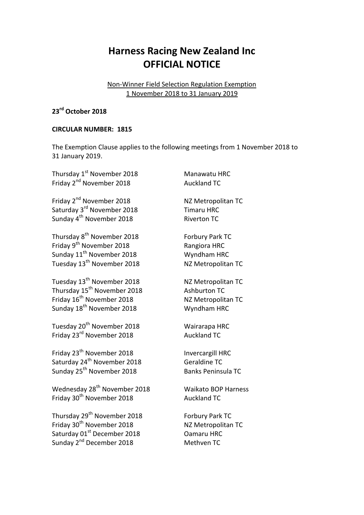## **Harness Racing New Zealand Inc OFFICIAL NOTICE**

## Non-Winner Field Selection Regulation Exemption 1 November 2018 to 31 January 2019

## **23rd October 2018**

## **CIRCULAR NUMBER: 1815**

The Exemption Clause applies to the following meetings from 1 November 2018 to 31 January 2019.

| Thursday 1 <sup>st</sup> November 2018   | Manawatu HRC               |
|------------------------------------------|----------------------------|
| Friday 2 <sup>nd</sup> November 2018     | <b>Auckland TC</b>         |
| Friday 2 <sup>nd</sup> November 2018     | NZ Metropolitan TC         |
| Saturday 3 <sup>rd</sup> November 2018   | <b>Timaru HRC</b>          |
| Sunday 4 <sup>th</sup> November 2018     | <b>Riverton TC</b>         |
| Thursday 8 <sup>th</sup> November 2018   | Forbury Park TC            |
| Friday 9 <sup>th</sup> November 2018     | Rangiora HRC               |
| Sunday 11 <sup>th</sup> November 2018    | Wyndham HRC                |
| Tuesday 13 <sup>th</sup> November 2018   | NZ Metropolitan TC         |
| Tuesday 13 <sup>th</sup> November 2018   | NZ Metropolitan TC         |
| Thursday 15 <sup>th</sup> November 2018  | <b>Ashburton TC</b>        |
| Friday 16 <sup>th</sup> November 2018    | NZ Metropolitan TC         |
| Sunday 18 <sup>th</sup> November 2018    | Wyndham HRC                |
| Tuesday 20 <sup>th</sup> November 2018   | Wairarapa HRC              |
| Friday 23 <sup>rd</sup> November 2018    | <b>Auckland TC</b>         |
| Friday 23 <sup>th</sup> November 2018    | <b>Invercargill HRC</b>    |
| Saturday 24 <sup>th</sup> November 2018  | <b>Geraldine TC</b>        |
| Sunday 25 <sup>th</sup> November 2018    | <b>Banks Peninsula TC</b>  |
| Wednesday 28 <sup>th</sup> November 2018 | <b>Waikato BOP Harness</b> |
| Friday 30 <sup>th</sup> November 2018    | <b>Auckland TC</b>         |
| Thursday 29 <sup>th</sup> November 2018  | Forbury Park TC            |
| Friday 30 <sup>th</sup> November 2018    | NZ Metropolitan TC         |
| Saturday 01st December 2018              | <b>Oamaru HRC</b>          |
| Sunday 2 <sup>nd</sup> December 2018     | Methven TC                 |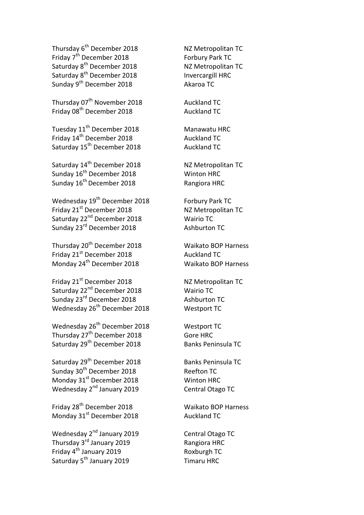Thursday 6<sup>th</sup> December 2018 **NZ Metropolitan TC** Friday 7<sup>th</sup> December 2018 **Forbury Park TC** Saturday 8<sup>th</sup> December 2018 NZ Metropolitan TC Saturday 8<sup>th</sup> December 2018 **Invercargill HRC** Sunday 9<sup>th</sup> December 2018 **Akaroa TC** 

Thursday 07<sup>th</sup> November 2018 Auckland TC Friday 08<sup>th</sup> December 2018 Auckland TC

Tuesday 11<sup>th</sup> December 2018 **Manawatu HRC** Friday 14<sup>th</sup> December 2018 **Auckland TC** Saturday 15<sup>th</sup> December 2018 **Auckland TC** 

Saturday 14<sup>th</sup> December 2018 **NZ Metropolitan TC** Sunday 16<sup>th</sup> December 2018 **Winton HRC** Sunday 16<sup>th</sup> December 2018 **Rangiora HRC** 

Wednesday 19<sup>th</sup> December 2018 Forbury Park TC Friday 21<sup>st</sup> December 2018 NZ Metropolitan TC Saturday 22<sup>nd</sup> December 2018 **Mairio TC** Wairio TC Sunday 23<sup>rd</sup> December 2018 **Ashburton TC** 

Thursday 20th December 2018 Waikato BOP Harness Friday 21<sup>st</sup> December 2018 Auckland TC Monday 24<sup>th</sup> December 2018 Waikato BOP Harness

Friday 21<sup>st</sup> December 2018 NZ Metropolitan TC Saturday 22<sup>nd</sup> December 2018 Wairio TC Sunday 23<sup>rd</sup> December 2018 Ashburton TC Wednesday 26<sup>th</sup> December 2018 Westport TC

Wednesday 26<sup>th</sup> December 2018 Westport TC Thursday 27<sup>th</sup> December 2018 **Gore HRC** Saturday 29<sup>th</sup> December 2018 Banks Peninsula TC

Saturday 29<sup>th</sup> December 2018 Banks Peninsula TC Sunday 30<sup>th</sup> December 2018 Reefton TC Monday 31<sup>st</sup> December 2018 Winton HRC Wednesday 2nd January 2019 Central Otago TC

Friday 28<sup>th</sup> December 2018 Monday 31<sup>st</sup> December 2018 Auckland TC

Wednesday 2<sup>nd</sup> January 2019 Central Otago TC Thursday 3<sup>rd</sup> January 2019 Rangiora HRC Friday 4<sup>th</sup> January 2019 **Roxburgh TC** Saturday 5<sup>th</sup> January 2019 **Timaru HRC** 

Waikato BOP Harness